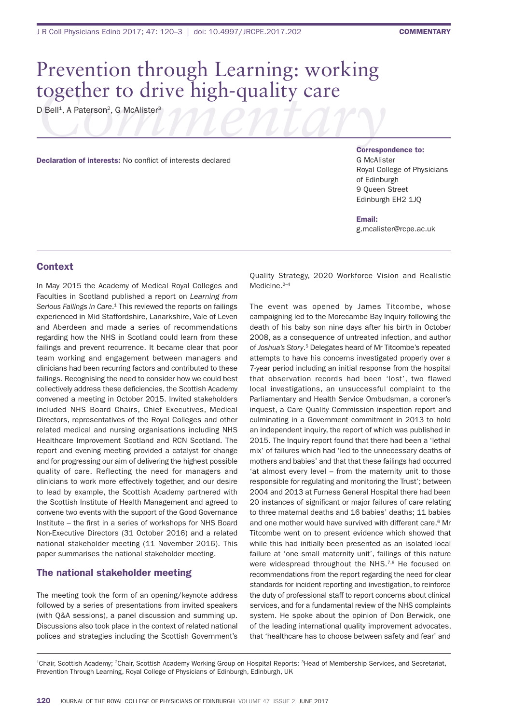# together to drive high-quality care Prevention through Learning: working

D Bell<sup>1</sup>, A Paterson<sup>2</sup>, G McAlister<sup>3</sup>

Declaration of interests: No conflict of interests declared

Correspondence to: g mcalister Royal College of Physicians of Edinburgh 9 Queen street Edinburgh EH2 1JQ

Email: g.mcalister@rcpe.ac.uk

## **Context**

In May 2015 the Academy of Medical Royal Colleges and faculties in scotland published a report on *Learning from*  Serious Failings in Care.<sup>1</sup> This reviewed the reports on failings experienced in mid staffordshire, lanarkshire, vale of leven and aberdeen and made a series of recommendations regarding how the NHS in Scotland could learn from these failings and prevent recurrence. it became clear that poor team working and engagement between managers and clinicians had been recurring factors and contributed to these failings. Recognising the need to consider how we could best collectively address these deficiencies, the Scottish Academy convened a meeting in october 2015. invited stakeholders included NHS Board Chairs, Chief Executives, Medical Directors, representatives of the Royal Colleges and other related medical and nursing organisations including NHS Healthcare Improvement Scotland and RCN Scotland. The report and evening meeting provided a catalyst for change and for progressing our aim of delivering the highest possible quality of care. Reflecting the need for managers and clinicians to work more effectively together, and our desire to lead by example, the scottish academy partnered with the scottish institute of health management and agreed to convene two events with the support of the good governance Institute – the first in a series of workshops for NHS Board Non-Executive Directors (31 October 2016) and a related national stakeholder meeting (11 November 2016). This paper summarises the national stakeholder meeting.

# The national stakeholder meeting

The meeting took the form of an opening/keynote address followed by a series of presentations from invited speakers (with Q&A sessions), a panel discussion and summing up. Discussions also took place in the context of related national polices and strategies including the scottish government's

Quality Strategy, 2020 Workforce Vision and Realistic Medicine.<sup>2-4</sup>

The event was opened by James Titcombe, whose campaigning led to the Morecambe Bay Inquiry following the death of his baby son nine days after his birth in october 2008, as a consequence of untreated infection, and author of Joshua's Story.<sup>5</sup> Delegates heard of Mr Titcombe's repeated attempts to have his concerns investigated properly over a 7-year period including an initial response from the hospital that observation records had been 'lost', two flawed local investigations, an unsuccessful complaint to the Parliamentary and Health Service Ombudsman, a coroner's inquest, a Care Quality Commission inspection report and culminating in a government commitment in 2013 to hold an independent inquiry, the report of which was published in 2015. The Inquiry report found that there had been a 'lethal mix' of failures which had 'led to the unnecessary deaths of mothers and babies' and that that these failings had occurred 'at almost every level – from the maternity unit to those responsible for regulating and monitoring the Trust'; between 2004 and 2013 at furness general hospital there had been 20 instances of significant or major failures of care relating to three maternal deaths and 16 babies' deaths; 11 babies and one mother would have survived with different care.<sup>6</sup> Mr Titcombe went on to present evidence which showed that while this had initially been presented as an isolated local failure at 'one small maternity unit', failings of this nature were widespread throughout the NHS.<sup>7,8</sup> He focused on recommendations from the report regarding the need for clear standards for incident reporting and investigation, to reinforce the duty of professional staff to report concerns about clinical services, and for a fundamental review of the NHS complaints system. He spoke about the opinion of Don Berwick, one of the leading international quality improvement advocates, that 'healthcare has to choose between safety and fear' and

<sup>1</sup>Chair, Scottish Academy; <sup>2</sup>Chair, Scottish Academy Working Group on Hospital Reports; <sup>3</sup>Head of Membership Services, and Secretariat, Prevention Through Learning, Royal College of Physicians of Edinburgh, Edinburgh, UK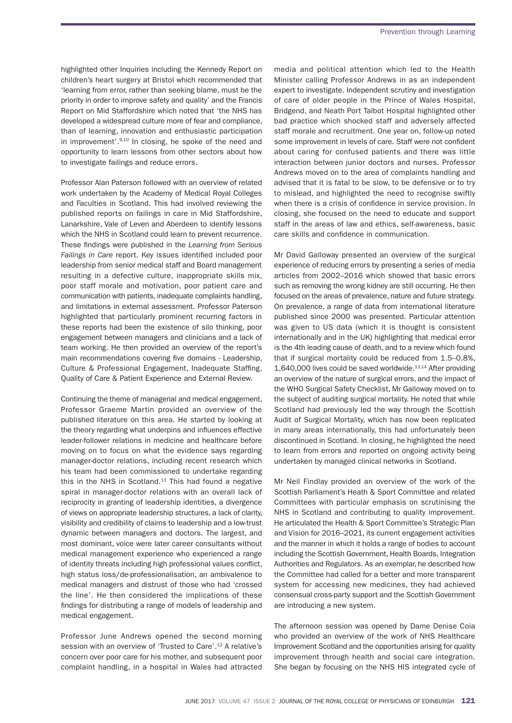highlighted other Inquiries including the Kennedy Report on children's heart surgery at Bristol which recommended that 'learning from error, rather than seeking blame, must be the priority in order to improve safety and quality' and the francis Report on Mid Staffordshire which noted that 'the NHS has developed a widespread culture more of fear and compliance, than of learning, innovation and enthusiastic participation in improvement'.<sup>9,10</sup> In closing, he spoke of the need and opportunity to learn lessons from other sectors about how to investigate failings and reduce errors.

Professor alan Paterson followed with an overview of related work undertaken by the Academy of Medical Royal Colleges and Faculties in Scotland. This had involved reviewing the published reports on failings in care in mid staffordshire, lanarkshire, vale of leven and aberdeen to identify lessons which the NHS in Scotland could learn to prevent recurrence. These findings were published in the *Learning from Serious* Failings in Care report. Key issues identified included poor leadership from senior medical staff and board management resulting in a defective culture, inappropriate skills mix, poor staff morale and motivation, poor patient care and communication with patients, inadequate complaints handling, and limitations in external assessment. Professor Paterson highlighted that particularly prominent recurring factors in these reports had been the existence of silo thinking, poor engagement between managers and clinicians and a lack of team working. he then provided an overview of the report's main recommendations covering five domains - Leadership, Culture & Professional Engagement, Inadequate Staffing, Quality of Care & Patient Experience and External Review.

Continuing the theme of managerial and medical engagement, Professor Graeme Martin provided an overview of the published literature on this area. he started by looking at the theory regarding what underpins and influences effective leader-follower relations in medicine and healthcare before moving on to focus on what the evidence says regarding manager-doctor relations, including recent research which his team had been commissioned to undertake regarding this in the NHS in Scotland. $11$  This had found a negative spiral in manager-doctor relations with an overall lack of reciprocity in granting of leadership identities, a divergence of views on appropriate leadership structures, a lack of clarity, visibility and credibility of claims to leadership and a low-trust dynamic between managers and doctors. the largest, and most dominant, voice were later career consultants without medical management experience who experienced a range of identity threats including high professional values conflict, high status loss/de-professionalisation, an ambivalence to medical managers and distrust of those who had 'crossed the line'. He then considered the implications of these findings for distributing a range of models of leadership and medical engagement.

Professor June Andrews opened the second morning session with an overview of 'Trusted to Care'.<sup>12</sup> A relative's concern over poor care for his mother, and subsequent poor complaint handling, in a hospital in Wales had attracted

media and political attention which led to the health Minister calling Professor Andrews in as an independent expert to investigate. independent scrutiny and investigation of care of older people in the Prince of Wales hospital, Bridgend, and Neath Port Talbot Hospital highlighted other bad practice which shocked staff and adversely affected staff morale and recruitment. one year on, follow-up noted some improvement in levels of care. Staff were not confident about caring for confused patients and there was little interaction between junior doctors and nurses. Professor andrews moved on to the area of complaints handling and advised that it is fatal to be slow, to be defensive or to try to mislead, and highlighted the need to recognise swiftly when there is a crisis of confidence in service provision. In closing, she focused on the need to educate and support staff in the areas of law and ethics, self-awareness, basic care skills and confidence in communication.

Mr David Galloway presented an overview of the surgical experience of reducing errors by presenting a series of media articles from 2002–2016 which showed that basic errors such as removing the wrong kidney are still occurring. He then focused on the areas of prevalence, nature and future strategy. on prevalence, a range of data from international literature published since 2000 was presented. Particular attention was given to US data (which it is thought is consistent internationally and in the UK) highlighting that medical error is the 4th leading cause of death, and to a review which found that if surgical mortality could be reduced from 1.5–0.8%, 1,640,000 lives could be saved worldwide.<sup>13,14</sup> After providing an overview of the nature of surgical errors, and the impact of the WHO Surgical Safety Checklist, Mr Galloway moved on to the subject of auditing surgical mortality. he noted that while scotland had previously led the way through the scottish Audit of Surgical Mortality, which has now been replicated in many areas internationally, this had unfortunately been discontinued in scotland. in closing, he highlighted the need to learn from errors and reported on ongoing activity being undertaken by managed clinical networks in scotland.

Mr Neil Findlay provided an overview of the work of the scottish Parliament's heath & sport Committee and related Committees with particular emphasis on scrutinising the NHS in Scotland and contributing to quality improvement. he articulated the health & sport Committee's strategic Plan and vision for 2016–2021, its current engagement activities and the manner in which it holds a range of bodies to account including the Scottish Government, Health Boards, Integration Authorities and Regulators. As an exemplar, he described how the Committee had called for a better and more transparent system for accessing new medicines, they had achieved consensual cross-party support and the scottish government are introducing a new system.

The afternoon session was opened by Dame Denise Coia who provided an overview of the work of NHS Healthcare improvement scotland and the opportunities arising for quality improvement through health and social care integration. She began by focusing on the NHS HIS integrated cycle of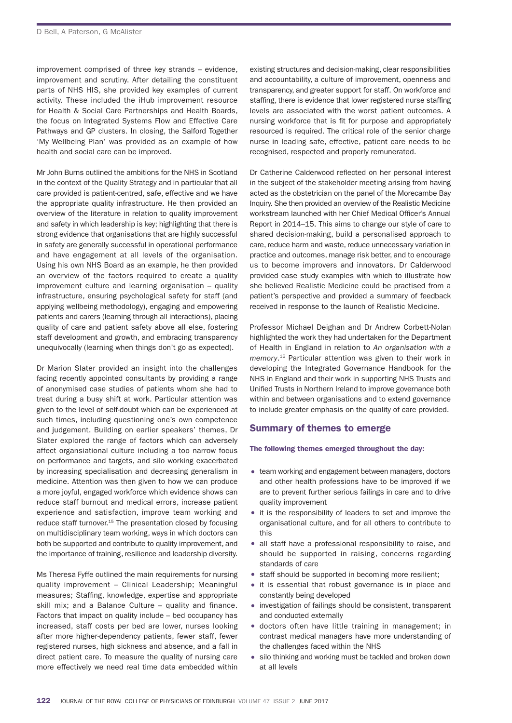improvement comprised of three key strands – evidence, improvement and scrutiny. after detailing the constituent parts of NHS HIS, she provided key examples of current activity. These included the iHub improvement resource for Health & Social Care Partnerships and Health Boards, the focus on Integrated Systems Flow and Effective Care Pathways and GP clusters. In closing, the Salford Together 'My Wellbeing Plan' was provided as an example of how health and social care can be improved.

Mr John Burns outlined the ambitions for the NHS in Scotland in the context of the Quality strategy and in particular that all care provided is patient-centred, safe, effective and we have the appropriate quality infrastructure. he then provided an overview of the literature in relation to quality improvement and safety in which leadership is key; highlighting that there is strong evidence that organisations that are highly successful in safety are generally successful in operational performance and have engagement at all levels of the organisation. Using his own NHS Board as an example, he then provided an overview of the factors required to create a quality improvement culture and learning organisation – quality infrastructure, ensuring psychological safety for staff (and applying wellbeing methodology), engaging and empowering patients and carers (learning through all interactions), placing quality of care and patient safety above all else, fostering staff development and growth, and embracing transparency unequivocally (learning when things don't go as expected).

Dr Marion Slater provided an insight into the challenges facing recently appointed consultants by providing a range of anonymised case studies of patients whom she had to treat during a busy shift at work. Particular attention was given to the level of self-doubt which can be experienced at such times, including questioning one's own competence and judgement. Building on earlier speakers' themes, Dr slater explored the range of factors which can adversely affect organsiational culture including a too narrow focus on performance and targets, and silo working exacerbated by increasing specialisation and decreasing generalism in medicine. attention was then given to how we can produce a more joyful, engaged workforce which evidence shows can reduce staff burnout and medical errors, increase patient experience and satisfaction, improve team working and reduce staff turnover.<sup>15</sup> The presentation closed by focusing on multidisciplinary team working, ways in which doctors can both be supported and contribute to quality improvement, and the importance of training, resilience and leadership diversity.

Ms Theresa Fyffe outlined the main requirements for nursing quality improvement – Clinical leadership; meaningful measures; Staffing, knowledge, expertise and appropriate skill mix; and a Balance Culture – quality and finance. factors that impact on quality include – bed occupancy has increased, staff costs per bed are lower, nurses looking after more higher-dependency patients, fewer staff, fewer registered nurses, high sickness and absence, and a fall in direct patient care. To measure the quality of nursing care more effectively we need real time data embedded within

existing structures and decision-making, clear responsibilities and accountability, a culture of improvement, openness and transparency, and greater support for staff. On workforce and staffing, there is evidence that lower registered nurse staffing levels are associated with the worst patient outcomes. A nursing workforce that is fit for purpose and appropriately resourced is required. The critical role of the senior charge nurse in leading safe, effective, patient care needs to be recognised, respected and properly remunerated.

Dr Catherine Calderwood reflected on her personal interest in the subject of the stakeholder meeting arising from having acted as the obstetrician on the panel of the morecambe bay Inquiry. She then provided an overview of the Realistic Medicine workstream launched with her Chief Medical Officer's Annual Report in 2014–15. This aims to change our style of care to shared decision-making, build a personalised approach to care, reduce harm and waste, reduce unnecessary variation in practice and outcomes, manage risk better, and to encourage us to become improvers and innovators. Dr Calderwood provided case study examples with which to illustrate how she believed Realistic Medicine could be practised from a patient's perspective and provided a summary of feedback received in response to the launch of Realistic Medicine.

Professor Michael Deighan and Dr Andrew Corbett-Nolan highlighted the work they had undertaken for the Department of health in england in relation to *An organisation with a memory*. 16 Particular attention was given to their work in developing the integrated governance handbook for the NHS in England and their work in supporting NHS Trusts and Unified Trusts in Northern Ireland to improve governance both within and between organisations and to extend governance to include greater emphasis on the quality of care provided.

# Summary of themes to emerge

### The following themes emerged throughout the day:

- team working and engagement between managers, doctors and other health professions have to be improved if we are to prevent further serious failings in care and to drive quality improvement
- it is the responsibility of leaders to set and improve the organisational culture, and for all others to contribute to this
- all staff have a professional responsibility to raise, and should be supported in raising, concerns regarding standards of care
- staff should be supported in becoming more resilient;
- it is essential that robust governance is in place and constantly being developed
- investigation of failings should be consistent, transparent and conducted externally
- doctors often have little training in management; in contrast medical managers have more understanding of the challenges faced within the NHS
- silo thinking and working must be tackled and broken down at all levels